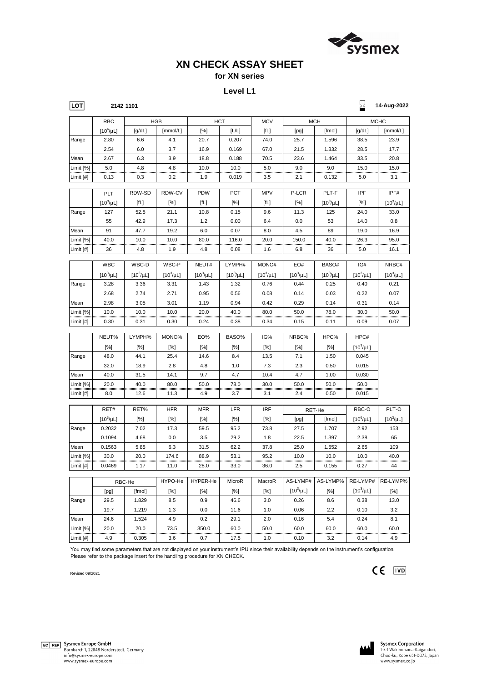|           | RBC-He |        | HYPO-He | HYPER-He | MicroR | MacroR | AS-LYMP#       | AS-LYMP% |               | RE-LYMP# RE-LYMP% |
|-----------|--------|--------|---------|----------|--------|--------|----------------|----------|---------------|-------------------|
|           | [pg]   | [fmol] | [%]     | [%]      | [%]    | [%]    | $[10^3/\mu L]$ | [%]      | [10 $^3$ /µL] | $[\%]$            |
| Range     | 29.5   | 1.829  | 8.5     | 0.9      | 46.6   | 3.0    | 0.26           | 8.6      | 0.38          | 13.0              |
|           | 19.7   | 1.219  | 1.3     | 0.0      | 11.6   | 1.0    | 0.06           | 2.2      | 0.10          | 3.2               |
| Mean      | 24.6   | .524   | 4.9     | 0.2      | 29.1   | 2.0    | 0.16           | 5.4      | 0.24          | 8.1               |
| Limit [%] | 20.0   | 20.0   | 73.5    | 350.0    | 60.0   | 50.0   | 60.0           | 60.0     | 60.0          | 60.0              |
| Limit [#] | 4.9    | 0.305  | 3.6     | 0.7      | 17.5   | 1.0    | 0.10           | 3.2      | 0.14          | 4.9               |

 $\Box$ 

| <b>LOT</b>  |                | 2142 1101      |                |                |                |                |                |                | X              | 14-Aug-2022    |
|-------------|----------------|----------------|----------------|----------------|----------------|----------------|----------------|----------------|----------------|----------------|
|             | <b>RBC</b>     |                | <b>HGB</b>     |                | <b>HCT</b>     | <b>MCV</b>     |                | <b>MCH</b>     |                | <b>MCHC</b>    |
|             | $[10^6/\mu L]$ | [g/dL]         | [mmol/L]       | [%]            | [L/L]          | [fL]           | [pg]           | [fmol]         | [g/dL]         | [mmol/L]       |
| Range       | 2.80           | 6.6            | 4.1            | 20.7           | 0.207          | 74.0           | 25.7           | 1.596          | 38.5           | 23.9           |
|             | 2.54           | 6.0            | 3.7            | 16.9           | 0.169          | 67.0           | 21.5           | 1.332          | 28.5           | 17.7           |
| Mean        | 2.67           | 6.3            | 3.9            | 18.8           | 0.188          | 70.5           | 23.6           | 1.464          | 33.5           | 20.8           |
| Limit [%]   | 5.0            | 4.8            | 4.8            | 10.0           | 10.0           | $5.0$          | 9.0            | 9.0            | 15.0           | 15.0           |
| Limit [#]   | 0.13           | 0.3            | 0.2            | 1.9            | 0.019          | 3.5            | 2.1            | 0.132          | 5.0            | 3.1            |
|             | PLT            | RDW-SD         | RDW-CV         | <b>PDW</b>     | PCT            | <b>MPV</b>     | P-LCR          | PLT-F          | <b>IPF</b>     | IPF#           |
|             | $[10^3/\mu L]$ | [fL]           | [%]            | [fL]           | [%]            | [fL]           | [%]            | $[10^3/\mu L]$ | [%]            | $[10^3/\mu L]$ |
| Range       | 127            | 52.5           | 21.1           | 10.8           | 0.15           | 9.6            | 11.3           | 125            | 24.0           | 33.0           |
|             | 55             | 42.9           | 17.3           | 1.2            | 0.00           | 6.4            | 0.0            | 53             | 14.0           | 0.8            |
| Mean        | 91             | 47.7           | 19.2           | 6.0            | 0.07           | 8.0            | 4.5            | 89             | 19.0           | 16.9           |
| Limit [%]   | 40.0           | 10.0           | 10.0           | 80.0           | 116.0          | 20.0           | 150.0          | 40.0           | 26.3           | 95.0           |
| Limit [#]   | 36             | 4.8            | 1.9            | 4.8            | 0.08           | 1.6            | 6.8            | 36             | 5.0            | 16.1           |
|             |                |                |                |                |                |                |                |                |                |                |
|             | <b>WBC</b>     | WBC-D          | WBC-P          | NEUT#          | LYMPH#         | MONO#          | EO#            | BASO#          | IG#            | NRBC#          |
|             | $[10^3/\mu L]$ | $[10^3/\mu L]$ | $[10^3/\mu L]$ | $[10^3/\mu L]$ | $[10^3/\mu L]$ | $[10^3/\mu L]$ | $[10^3/\mu L]$ | $[10^3/\mu L]$ | $[10^3/\mu L]$ | $[10^3/\mu L]$ |
| Range       | 3.28           | 3.36           | 3.31           | 1.43           | 1.32           | 0.76           | 0.44           | 0.25           | 0.40           | 0.21           |
|             | 2.68           | 2.74           | 2.71           | 0.95           | 0.56           | 0.08           | 0.14           | 0.03           | 0.22           | 0.07           |
| Mean        | 2.98           | 3.05           | 3.01           | 1.19           | 0.94           | 0.42           | 0.29           | 0.14           | 0.31           | 0.14           |
| Limit [%]   | 10.0           | 10.0           | 10.0           | 20.0           | 40.0           | 80.0           | 50.0           | 78.0           | 30.0           | 50.0           |
| Limit $[#]$ | 0.30           | 0.31           | 0.30           | 0.24           | 0.38           | 0.34           | 0.15           | 0.11           | 0.09           | 0.07           |
|             | NEUT%          | LYMPH%         | MONO%          | EO%            | BASO%          | IG%            | NRBC%          | HPC%           | HPC#           |                |
|             | [%]            | [%]            | [%]            | [%]            | [%]            | [%]            | [%]            | [%]            | $[10^3/\mu L]$ |                |
| Range       | 48.0           | 44.1           | 25.4           | 14.6           | 8.4            | 13.5           | 7.1            | 1.50           | 0.045          |                |
|             | 32.0           | 18.9           | 2.8            | 4.8            | 1.0            | 7.3            | 2.3            | 0.50           | 0.015          |                |
| Mean        | 40.0           | 31.5           | 14.1           | 9.7            | 4.7            | 10.4           | 4.7            | 1.00           | 0.030          |                |
| Limit [%]   | 20.0           | 40.0           | 80.0           | 50.0           | 78.0           | 30.0           | 50.0           | 50.0           | 50.0           |                |
| Limit $[#]$ | 8.0            | 12.6           | 11.3           | 4.9            | 3.7            | 3.1            | 2.4            | 0.50           | 0.015          |                |
|             | RET#           | RET%           | <b>HFR</b>     | <b>MFR</b>     | <b>LFR</b>     | <b>IRF</b>     |                | RET-He         | RBC-O          | PLT-O          |
|             | $[10^6/\mu L]$ | [%]            | $[\%]$         | [%]            | [%]            | [%]            | [pg]           | [fmol]         | $[10^6/\mu L]$ | $[10^3/\mu L]$ |
| Range       | 0.2032         | 7.02           | 17.3           | 59.5           | 95.2           | 73.8           | 27.5           | 1.707          | 2.92           | 153            |
|             | 0.1094         | 4.68           | 0.0            | 3.5            | 29.2           | 1.8            | 22.5           | 1.397          | 2.38           | 65             |
| Mean        | 0.1563         | 5.85           | 6.3            | 31.5           | 62.2           | 37.8           | 25.0           | 1.552          | 2.65           | 109            |
| Limit [%]   | 30.0           | 20.0           | 174.6          | 88.9           | 53.1           | 95.2           | 10.0           | 10.0           | 10.0           | 40.0           |
| Limit [#]   | 0.0469         | 1.17           | 11.0           | 28.0           | 33.0           | 36.0           | 2.5            | 0.155          | 0.27           | 44             |
|             |                |                |                |                |                |                |                |                |                |                |

Revised 09/2021



# EC REP Sysmex Europe GmbH

Bornbarch 1, 22848 Norderstedt, Germany info@sysmex-europe.com www.sysmex-europe.com



 $CE$   $\boxed{IVD}$ 

**Sysmex Corporation** 1-5-1 Wakinohama-Kaigandori, Chuo-ku, Kobe 651-0073, Japan www.sysmex.co.jp

You may find some parameters that are not displayed on your instrument's IPU since their availability depends on the instrument's configuration. Please refer to the package insert for the handling procedure for XN CHECK.



# **XN CHECK ASSAY SHEET**

### **for XN series**

### **Level L1**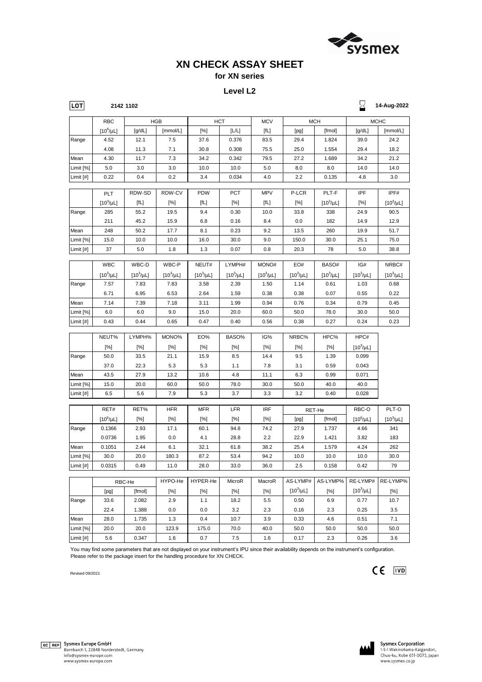HYPO-He | HYPER-He | MicroR | MacroR | AS-LYMP# | AS-LYMP% | RE-LYMP# | RE-LYMP% [pg] [fmol] [%] [%] [%] [%] [10<sup>3</sup>  $\mu$ L]  $[%]$   $[10^3/\mu$ L]  $[%]$ Range | 33.6 | 2.082 | 2.9 | 1.1 | 18.2 | 5.5 | 0.50 | 6.9 | 0.77 | 10.7 22.4 | 1.388 | 0.0 | 0.0 | 3.2 | 2.3 | 0.16 | 2.3 | 0.25 | 3.5 RBC-He

|           | 22.4 | 000   | v.v   | v.v  | ے.د  | د.∠  | v. 10 | د.∠      | ບ.∠ວ | ა.ა  |
|-----------|------|-------|-------|------|------|------|-------|----------|------|------|
| Mean      | 28.0 | .735  |       | 0.4  | 10.7 | 3.9  | 0.33  | 4.6      | 0.51 | .    |
| Limit [%] | 20.0 | 20.0  | 123.9 | 75.0 | 70.0 | 40.0 | 50.0  | 50.0     | 50.0 | 50.0 |
| Limit [#] | 5.6  | 0.347 | . ت   | ັບ.  | ں.   |      |       | ົ<br>د.ء | 0.26 | 3.6  |

| <b>LOT</b>  |                | 2142 1102      |                |                      |                |                                  |                |                                                                  | $\geq$         | 14-Aug-2022    |  |
|-------------|----------------|----------------|----------------|----------------------|----------------|----------------------------------|----------------|------------------------------------------------------------------|----------------|----------------|--|
|             | <b>RBC</b>     |                | <b>HGB</b>     |                      | <b>HCT</b>     | <b>MCV</b>                       | <b>MCH</b>     |                                                                  | <b>MCHC</b>    |                |  |
|             | $[10^6/\mu L]$ | [g/dL]         | [mmol/L]       | [%]                  | [L/L]          | [fL]                             | [pg]           | [fmol]                                                           | [g/dL]         | [mmol/L]       |  |
| Range       | 4.52           | 12.1           | 7.5            | 37.6                 | 0.376          | 83.5                             | 29.4           | 1.824                                                            | 39.0           | 24.2           |  |
|             | 4.08           | 11.3           | 7.1            | 30.8                 | 0.308          | 75.5                             | 25.0           | 1.554                                                            | 29.4           | 18.2           |  |
| Mean        | 4.30           | 11.7           | 7.3            | 34.2                 | 0.342          | 79.5                             | 27.2           | 1.689                                                            | 34.2           | 21.2           |  |
| Limit [%]   | 5.0            | 3.0            | 3.0            | 10.0                 | 10.0           | 5.0                              | 8.0            | 8.0                                                              | 14.0           | 14.0           |  |
| Limit $[#]$ | 0.22           | 0.4            | 0.2            | 3.4                  | 0.034          | 4.0                              | 2.2            | 0.135                                                            | 4.8            | 3.0            |  |
|             | PLT            | RDW-SD         | RDW-CV         | <b>PDW</b>           | <b>PCT</b>     | <b>MPV</b>                       | P-LCR          | PLT-F                                                            | <b>IPF</b>     | IPF#           |  |
|             | $[10^3/\mu L]$ | [fL]           | [%]            | [fL]                 | [%]            | [fL]                             | [%]            | $[10^3/\mu L]$                                                   | [%]            | $[10^3/\mu L]$ |  |
| Range       | 285            | 55.2           | 19.5           | 9.4                  | 0.30           | 10.0                             | 33.8           | 338                                                              | 24.9           | 90.5           |  |
|             | 211            | 45.2           | 15.9           | 6.8                  | 0.16           | 8.4                              | 0.0            | 182                                                              | 14.9           | 12.9           |  |
| Mean        | 248            | 50.2           | 17.7           | 8.1                  | 0.23           | 9.2                              | 13.5           | 260                                                              | 19.9           | 51.7           |  |
| Limit [%]   | 15.0           | 10.0           | 10.0           | 16.0                 | 30.0           | 9.0                              | 150.0          | 30.0                                                             | 25.1           | 75.0           |  |
| Limit [#]   | 37             | 5.0            | 1.8            | 1.3                  | 0.07           | 0.8                              | 20.3           | 78                                                               | 5.0            | 38.8           |  |
|             | <b>WBC</b>     | WBC-D          | WBC-P          | NEUT#                | LYMPH#         | MONO#                            | EO#            | BASO#                                                            | IG#            | NRBC#          |  |
|             | $[10^3/\mu L]$ | $[10^3/\mu L]$ | $[10^3/\mu L]$ | $[10^3/\mu L]$       | $[10^3/\mu L]$ | $[10^3/\mu L]$                   | $[10^3/\mu L]$ | $[10^3/\mu L]$                                                   | $[10^3/\mu L]$ | $[10^3/\mu L]$ |  |
| Range       | 7.57           | 7.83           | 7.83           | 3.58                 | 2.39           | 1.50                             | 1.14           | 0.61                                                             | 1.03           | 0.68           |  |
|             | 6.71           | 6.95           | 6.53           | 2.64                 | 1.59           | 0.38                             | 0.38           | 0.07                                                             | 0.55           | 0.22           |  |
| Mean        | 7.14           | 7.39           | 7.18           | 3.11                 | 1.99           | 0.94                             | 0.76           | 0.34                                                             | 0.79           | 0.45           |  |
| Limit [%]   | 6.0            | 6.0            | 9.0            | 15.0                 | 20.0           | 60.0                             | 50.0           | 78.0                                                             | 30.0           | 50.0           |  |
| Limit [#]   | 0.43           | 0.44           | 0.65           | 0.47                 | 0.40           | 0.56                             | 0.38           | 0.27                                                             | 0.24           | 0.23           |  |
|             | NEUT%          | LYMPH%         | MONO%          | EO%                  | BASO%          | IG%                              | NRBC%          | HPC%                                                             | HPC#           |                |  |
|             | [%]            | [%]            | [%]            | $[\%]$               | [%]            | [%]                              | [%]            | [%]                                                              | $[10^3/\mu L]$ |                |  |
| Range       | 50.0           | 33.5           | 21.1           | 15.9                 | 8.5            | 14.4                             | 9.5            | 1.39                                                             | 0.099          |                |  |
|             | 37.0           | 22.3           | 5.3            | 5.3                  | 1.1            | 7.8                              | 3.1            | 0.59                                                             | 0.043          |                |  |
| Mean        | 43.5           | 27.9           | 13.2           | 10.6                 | 4.8            | 11.1                             | 6.3            | 0.99                                                             | 0.071          |                |  |
| Limit [%]   | 15.0           | 20.0           | 60.0           | 50.0                 | 78.0           | 30.0                             | 50.0           | 40.0                                                             | 40.0           |                |  |
| Limit $[#]$ | 6.5            | 5.6            | 7.9            | 5.3                  | 3.7            | 3.3                              | 3.2            | 0.40                                                             | 0.028          |                |  |
|             | RET#           | RET%           | <b>HFR</b>     | <b>MFR</b>           | <b>LFR</b>     | <b>IRF</b>                       |                | RET-He                                                           | RBC-O          | PLT-O          |  |
|             | $[10^6/\mu L]$ | [%]            | [%]            | [%]                  | [%]            | [%]                              | [pg]           | [fmol]                                                           | $[10^6/\mu L]$ | $[10^3/\mu L]$ |  |
| Range       | 0.1366         | 2.93           | 17.1           | 60.1                 | 94.8           | 74.2                             | 27.9           | 1.737                                                            | 4.66           | 341            |  |
|             | 0.0736         | 1.95           | 0.0            | 4.1                  | 28.8           | 2.2                              | 22.9           | 1.421                                                            | 3.82           | 183            |  |
| Mean        | 0.1051         | 2.44           | 6.1            | 32.1                 | 61.8           | 38.2                             | 25.4           | 1.579                                                            | 4.24           | 262            |  |
| Limit [%]   | 30.0           | 20.0           | 180.3          | 87.2                 | 53.4           | 94.2                             | 10.0           | 10.0                                                             | 10.0           | 30.0           |  |
| Limit $[#]$ | 0.0315         | 0.49           | 11.0           | 28.0                 | 33.0           | 36.0                             | 2.5            | 0.158                                                            | 0.42           | 79             |  |
|             |                | DDO LL         |                | $HYPOLHA$ $HYPER.HA$ | MicroR         | M <sub>2</sub> cr <sub>0</sub> R |                | $\Delta$ S-I VMP# $\Delta$ S-I VMP% $\Delta$ RE-I VMP# RE-I VMP% |                |                |  |

Revised 09/2021



# EC REP Sysmex Europe GmbH

Bornbarch 1, 22848 Norderstedt, Germany info@sysmex-europe.com www.sysmex-europe.com



 $CE$   $\boxed{IVD}$ 

**Sysmex Corporation** 1-5-1 Wakinohama-Kaigandori, Chuo-ku, Kobe 651-0073, Japan www.sysmex.co.jp

You may find some parameters that are not displayed on your instrument's IPU since their availability depends on the instrument's configuration. Please refer to the package insert for the handling procedure for XN CHECK.



# **XN CHECK ASSAY SHEET**

### **for XN series**

#### **Level L2**